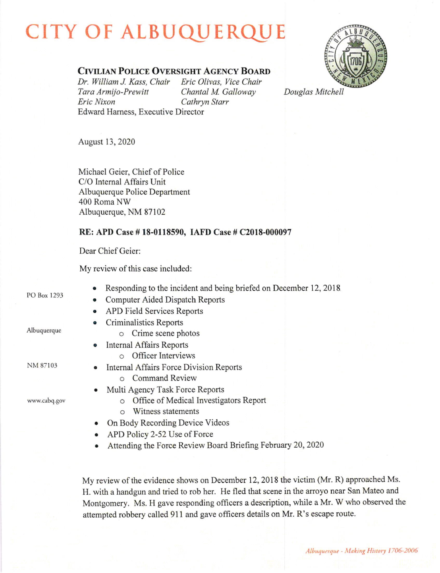## CITY OF ALBUQUERQU



## CIVILIAN POLICE OVERSIGHT AGENCY BOARD

Dr. William J. Kass, Chair Eric Olivas, Vice Chair<br>Tara Armijo-Prewitt Chantal M. Galloway Tara Armijo-Prewitt Chantal M. Galloway<br>Eric Nixon Cathrvn Starr Edward Hamess, Executive Director

Cathryn Starr

Douglas Mitchell

August 13,2020

Michael Geier, Chief of Police C/O Internal Affairs Unit Albuquerque Police Department 400 Roma NW Albuquerque, NM 87102

## RE: APD Case # 18-0118590, IAFD Case # C2018-000097

Dear Chief Geier:

My review of this case included:

PO Box 1293

Albuquerque

- Responding to the incident and being briefed on December 12, 2018.
- Computer Aided Dispatch Reports
- o APD Field Services Reports
	- Criminalistics Reports
		- o Crime scene photos
		- Internal Affairs Reports
		- o Officer Interviews
- NM 87103

www.cabq.gov

o Command Review

Internal Affairs Force Division Reports

- Multi Agency Task Force Reports
	- o Office of Medical Investigators Report
	- o Witness statements
- On Body Recording Device Videos
- APD Policy 2-52 Use of Force
- Attending the Force Review Board Briefing February 20, 2020

My review of the evidence shows on December 12,2018 the victim (Mr. R) approached Ms. H. with a handgun and tried to rob her. He fled that scene in the arroyo near San Mateo and Montgomery. Ms. H gave responding officers a description, while a Mr. W who observed the attempted robbery called 911 and gave officers details on Mr. R's escape route.